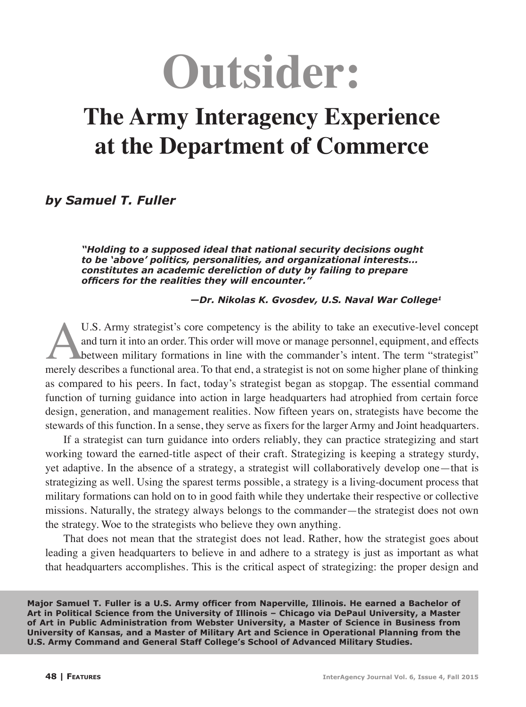# **Outsider:**

# **The Army Interagency Experience at the Department of Commerce**

*by Samuel T. Fuller* 

*"Holding to a supposed ideal that national security decisions ought to be 'above' politics, personalities, and organizational interests… constitutes an academic dereliction of duty by failing to prepare officers for the realities they will encounter."*

 *—Dr. Nikolas K. Gvosdev, U.S. Naval War College1*

U.S. Army strategist's core competency is the ability to take an executive-level concept<br>and turn it into an order. This order will move or manage personnel, equipment, and effects<br>between military formations in line with and turn it into an order. This order will move or manage personnel, equipment, and effects between military formations in line with the commander's intent. The term "strategist" merely describes a functional area. To that end, a strategist is not on some higher plane of thinking as compared to his peers. In fact, today's strategist began as stopgap. The essential command function of turning guidance into action in large headquarters had atrophied from certain force design, generation, and management realities. Now fifteen years on, strategists have become the stewards of this function. In a sense, they serve as fixers for the larger Army and Joint headquarters.

If a strategist can turn guidance into orders reliably, they can practice strategizing and start working toward the earned-title aspect of their craft. Strategizing is keeping a strategy sturdy, yet adaptive. In the absence of a strategy, a strategist will collaboratively develop one—that is strategizing as well. Using the sparest terms possible, a strategy is a living-document process that military formations can hold on to in good faith while they undertake their respective or collective missions. Naturally, the strategy always belongs to the commander—the strategist does not own the strategy. Woe to the strategists who believe they own anything.

That does not mean that the strategist does not lead. Rather, how the strategist goes about leading a given headquarters to believe in and adhere to a strategy is just as important as what that headquarters accomplishes. This is the critical aspect of strategizing: the proper design and

**Major Samuel T. Fuller is a U.S. Army officer from Naperville, Illinois. He earned a Bachelor of Art in Political Science from the University of Illinois – Chicago via DePaul University, a Master of Art in Public Administration from Webster University, a Master of Science in Business from University of Kansas, and a Master of Military Art and Science in Operational Planning from the U.S. Army Command and General Staff College's School of Advanced Military Studies.**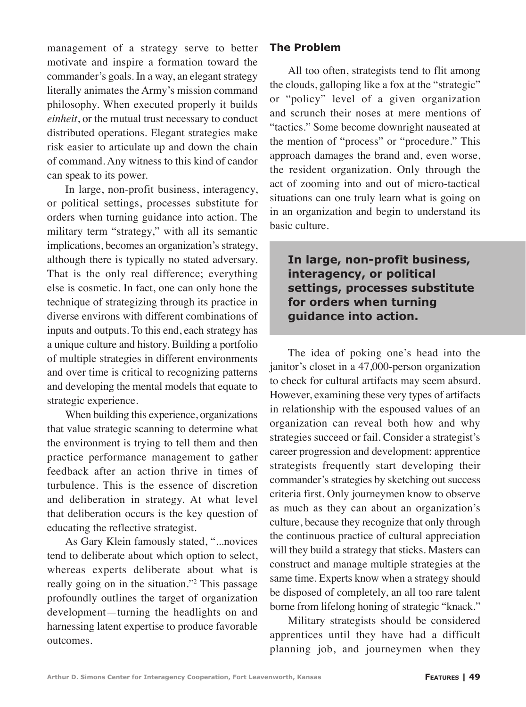management of a strategy serve to better motivate and inspire a formation toward the commander's goals. In a way, an elegant strategy literally animates the Army's mission command philosophy. When executed properly it builds *einheit*, or the mutual trust necessary to conduct distributed operations. Elegant strategies make risk easier to articulate up and down the chain of command. Any witness to this kind of candor can speak to its power.

In large, non-profit business, interagency, or political settings, processes substitute for orders when turning guidance into action. The military term "strategy," with all its semantic implications, becomes an organization's strategy, although there is typically no stated adversary. That is the only real difference; everything else is cosmetic. In fact, one can only hone the technique of strategizing through its practice in diverse environs with different combinations of inputs and outputs. To this end, each strategy has a unique culture and history. Building a portfolio of multiple strategies in different environments and over time is critical to recognizing patterns and developing the mental models that equate to strategic experience.

When building this experience, organizations that value strategic scanning to determine what the environment is trying to tell them and then practice performance management to gather feedback after an action thrive in times of turbulence. This is the essence of discretion and deliberation in strategy. At what level that deliberation occurs is the key question of educating the reflective strategist.

As Gary Klein famously stated, "...novices tend to deliberate about which option to select, whereas experts deliberate about what is really going on in the situation."<sup>2</sup> This passage profoundly outlines the target of organization development—turning the headlights on and harnessing latent expertise to produce favorable outcomes.

### **The Problem**

All too often, strategists tend to flit among the clouds, galloping like a fox at the "strategic" or "policy" level of a given organization and scrunch their noses at mere mentions of "tactics." Some become downright nauseated at the mention of "process" or "procedure." This approach damages the brand and, even worse, the resident organization. Only through the act of zooming into and out of micro-tactical situations can one truly learn what is going on in an organization and begin to understand its basic culture.

**In large, non-profit business, interagency, or political settings, processes substitute for orders when turning guidance into action.**

The idea of poking one's head into the janitor's closet in a 47,000-person organization to check for cultural artifacts may seem absurd. However, examining these very types of artifacts in relationship with the espoused values of an organization can reveal both how and why strategies succeed or fail. Consider a strategist's career progression and development: apprentice strategists frequently start developing their commander's strategies by sketching out success criteria first. Only journeymen know to observe as much as they can about an organization's culture, because they recognize that only through the continuous practice of cultural appreciation will they build a strategy that sticks. Masters can construct and manage multiple strategies at the same time. Experts know when a strategy should be disposed of completely, an all too rare talent borne from lifelong honing of strategic "knack."

Military strategists should be considered apprentices until they have had a difficult planning job, and journeymen when they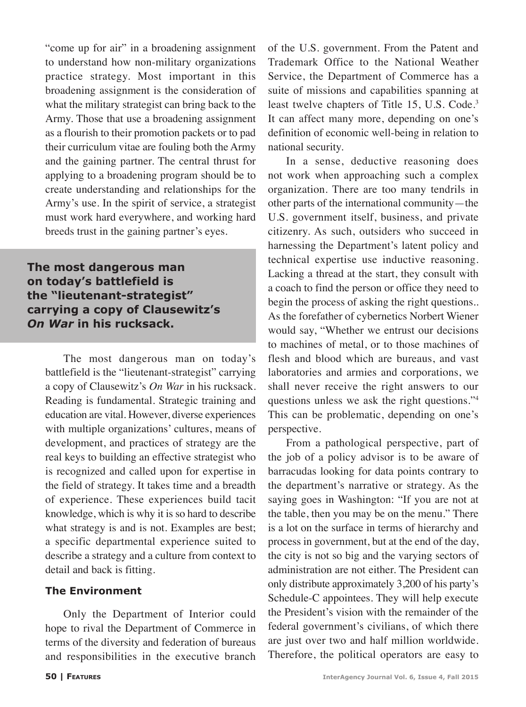"come up for air" in a broadening assignment to understand how non-military organizations practice strategy. Most important in this broadening assignment is the consideration of what the military strategist can bring back to the Army. Those that use a broadening assignment as a flourish to their promotion packets or to pad their curriculum vitae are fouling both the Army and the gaining partner. The central thrust for applying to a broadening program should be to create understanding and relationships for the Army's use. In the spirit of service, a strategist must work hard everywhere, and working hard breeds trust in the gaining partner's eyes.

**The most dangerous man on today's battlefield is the "lieutenant-strategist" carrying a copy of Clausewitz's**  *On War* **in his rucksack.**

The most dangerous man on today's battlefield is the "lieutenant-strategist" carrying a copy of Clausewitz's *On War* in his rucksack. Reading is fundamental. Strategic training and education are vital. However, diverse experiences with multiple organizations' cultures, means of development, and practices of strategy are the real keys to building an effective strategist who is recognized and called upon for expertise in the field of strategy. It takes time and a breadth of experience. These experiences build tacit knowledge, which is why it is so hard to describe what strategy is and is not. Examples are best; a specific departmental experience suited to describe a strategy and a culture from context to detail and back is fitting.

#### **The Environment**

Only the Department of Interior could hope to rival the Department of Commerce in terms of the diversity and federation of bureaus and responsibilities in the executive branch

of the U.S. government. From the Patent and Trademark Office to the National Weather Service, the Department of Commerce has a suite of missions and capabilities spanning at least twelve chapters of Title 15, U.S. Code.<sup>3</sup> It can affect many more, depending on one's definition of economic well-being in relation to national security.

In a sense, deductive reasoning does not work when approaching such a complex organization. There are too many tendrils in other parts of the international community—the U.S. government itself, business, and private citizenry. As such, outsiders who succeed in harnessing the Department's latent policy and technical expertise use inductive reasoning. Lacking a thread at the start, they consult with a coach to find the person or office they need to begin the process of asking the right questions.. As the forefather of cybernetics Norbert Wiener would say, "Whether we entrust our decisions to machines of metal, or to those machines of flesh and blood which are bureaus, and vast laboratories and armies and corporations, we shall never receive the right answers to our questions unless we ask the right questions."4 This can be problematic, depending on one's perspective.

From a pathological perspective, part of the job of a policy advisor is to be aware of barracudas looking for data points contrary to the department's narrative or strategy. As the saying goes in Washington: "If you are not at the table, then you may be on the menu." There is a lot on the surface in terms of hierarchy and process in government, but at the end of the day, the city is not so big and the varying sectors of administration are not either. The President can only distribute approximately 3,200 of his party's Schedule-C appointees. They will help execute the President's vision with the remainder of the federal government's civilians, of which there are just over two and half million worldwide. Therefore, the political operators are easy to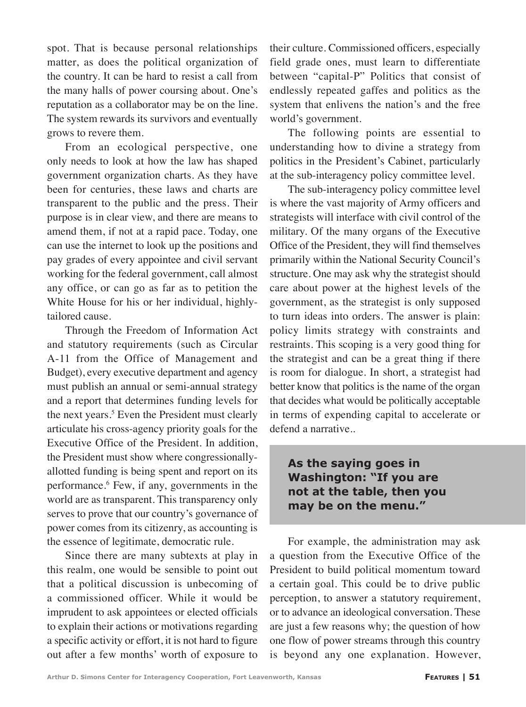spot. That is because personal relationships matter, as does the political organization of the country. It can be hard to resist a call from the many halls of power coursing about. One's reputation as a collaborator may be on the line. The system rewards its survivors and eventually grows to revere them.

From an ecological perspective, one only needs to look at how the law has shaped government organization charts. As they have been for centuries, these laws and charts are transparent to the public and the press. Their purpose is in clear view, and there are means to amend them, if not at a rapid pace. Today, one can use the internet to look up the positions and pay grades of every appointee and civil servant working for the federal government, call almost any office, or can go as far as to petition the White House for his or her individual, highlytailored cause.

Through the Freedom of Information Act and statutory requirements (such as Circular A-11 from the Office of Management and Budget), every executive department and agency must publish an annual or semi-annual strategy and a report that determines funding levels for the next years.<sup>5</sup> Even the President must clearly articulate his cross-agency priority goals for the Executive Office of the President. In addition, the President must show where congressionallyallotted funding is being spent and report on its performance.6 Few, if any, governments in the world are as transparent. This transparency only serves to prove that our country's governance of power comes from its citizenry, as accounting is the essence of legitimate, democratic rule.

Since there are many subtexts at play in this realm, one would be sensible to point out that a political discussion is unbecoming of a commissioned officer. While it would be imprudent to ask appointees or elected officials to explain their actions or motivations regarding a specific activity or effort, it is not hard to figure out after a few months' worth of exposure to

their culture. Commissioned officers, especially field grade ones, must learn to differentiate between "capital-P" Politics that consist of endlessly repeated gaffes and politics as the system that enlivens the nation's and the free world's government.

The following points are essential to understanding how to divine a strategy from politics in the President's Cabinet, particularly at the sub-interagency policy committee level.

The sub-interagency policy committee level is where the vast majority of Army officers and strategists will interface with civil control of the military. Of the many organs of the Executive Office of the President, they will find themselves primarily within the National Security Council's structure. One may ask why the strategist should care about power at the highest levels of the government, as the strategist is only supposed to turn ideas into orders. The answer is plain: policy limits strategy with constraints and restraints. This scoping is a very good thing for the strategist and can be a great thing if there is room for dialogue. In short, a strategist had better know that politics is the name of the organ that decides what would be politically acceptable in terms of expending capital to accelerate or defend a narrative..

# **As the saying goes in Washington: "If you are not at the table, then you may be on the menu."**

For example, the administration may ask a question from the Executive Office of the President to build political momentum toward a certain goal. This could be to drive public perception, to answer a statutory requirement, or to advance an ideological conversation. These are just a few reasons why; the question of how one flow of power streams through this country is beyond any one explanation. However,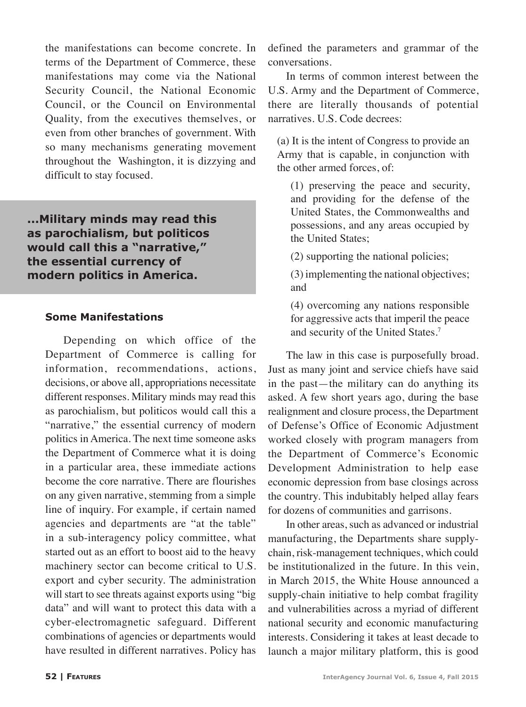the manifestations can become concrete. In terms of the Department of Commerce, these manifestations may come via the National Security Council, the National Economic Council, or the Council on Environmental Quality, from the executives themselves, or even from other branches of government. With so many mechanisms generating movement throughout the Washington, it is dizzying and difficult to stay focused.

**...Military minds may read this as parochialism, but politicos would call this a "narrative," the essential currency of modern politics in America.**

#### **Some Manifestations**

Depending on which office of the Department of Commerce is calling for information, recommendations, actions, decisions, or above all, appropriations necessitate different responses. Military minds may read this as parochialism, but politicos would call this a "narrative," the essential currency of modern politics in America. The next time someone asks the Department of Commerce what it is doing in a particular area, these immediate actions become the core narrative. There are flourishes on any given narrative, stemming from a simple line of inquiry. For example, if certain named agencies and departments are "at the table" in a sub-interagency policy committee, what started out as an effort to boost aid to the heavy machinery sector can become critical to U.S. export and cyber security. The administration will start to see threats against exports using "big data" and will want to protect this data with a cyber-electromagnetic safeguard. Different combinations of agencies or departments would have resulted in different narratives. Policy has defined the parameters and grammar of the conversations.

In terms of common interest between the U.S. Army and the Department of Commerce, there are literally thousands of potential narratives. U.S. Code decrees:

(a) It is the intent of Congress to provide an Army that is capable, in conjunction with the other armed forces, of:

(1) preserving the peace and security, and providing for the defense of the United States, the Commonwealths and possessions, and any areas occupied by the United States;

(2) supporting the national policies;

(3) implementing the national objectives; and

(4) overcoming any nations responsible for aggressive acts that imperil the peace and security of the United States.<sup>7</sup>

The law in this case is purposefully broad. Just as many joint and service chiefs have said in the past—the military can do anything its asked. A few short years ago, during the base realignment and closure process, the Department of Defense's Office of Economic Adjustment worked closely with program managers from the Department of Commerce's Economic Development Administration to help ease economic depression from base closings across the country. This indubitably helped allay fears for dozens of communities and garrisons.

In other areas, such as advanced or industrial manufacturing, the Departments share supplychain, risk-management techniques, which could be institutionalized in the future. In this vein, in March 2015, the White House announced a supply-chain initiative to help combat fragility and vulnerabilities across a myriad of different national security and economic manufacturing interests. Considering it takes at least decade to launch a major military platform, this is good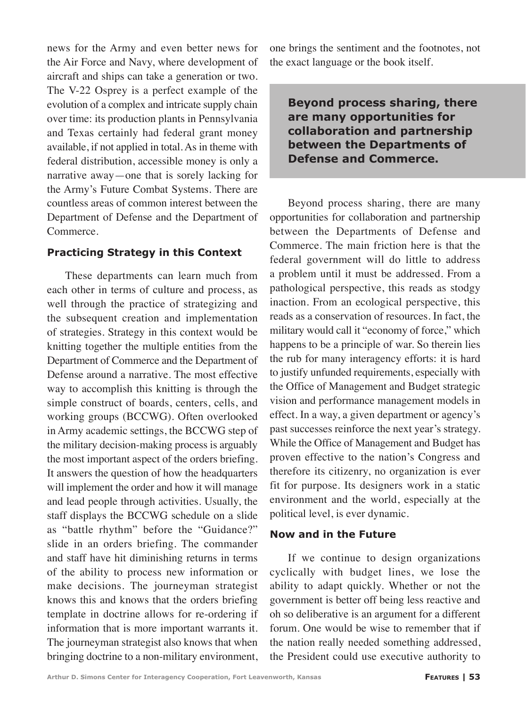news for the Army and even better news for the Air Force and Navy, where development of aircraft and ships can take a generation or two. The V-22 Osprey is a perfect example of the evolution of a complex and intricate supply chain over time: its production plants in Pennsylvania and Texas certainly had federal grant money available, if not applied in total. As in theme with federal distribution, accessible money is only a narrative away—one that is sorely lacking for the Army's Future Combat Systems. There are countless areas of common interest between the Department of Defense and the Department of Commerce.

#### **Practicing Strategy in this Context**

These departments can learn much from each other in terms of culture and process, as well through the practice of strategizing and the subsequent creation and implementation of strategies. Strategy in this context would be knitting together the multiple entities from the Department of Commerce and the Department of Defense around a narrative. The most effective way to accomplish this knitting is through the simple construct of boards, centers, cells, and working groups (BCCWG). Often overlooked in Army academic settings, the BCCWG step of the military decision-making process is arguably the most important aspect of the orders briefing. It answers the question of how the headquarters will implement the order and how it will manage and lead people through activities. Usually, the staff displays the BCCWG schedule on a slide as "battle rhythm" before the "Guidance?" slide in an orders briefing. The commander and staff have hit diminishing returns in terms of the ability to process new information or make decisions. The journeyman strategist knows this and knows that the orders briefing template in doctrine allows for re-ordering if information that is more important warrants it. The journeyman strategist also knows that when bringing doctrine to a non-military environment, one brings the sentiment and the footnotes, not the exact language or the book itself.

# **Beyond process sharing, there are many opportunities for collaboration and partnership between the Departments of Defense and Commerce.**

Beyond process sharing, there are many opportunities for collaboration and partnership between the Departments of Defense and Commerce. The main friction here is that the federal government will do little to address a problem until it must be addressed. From a pathological perspective, this reads as stodgy inaction. From an ecological perspective, this reads as a conservation of resources. In fact, the military would call it "economy of force," which happens to be a principle of war. So therein lies the rub for many interagency efforts: it is hard to justify unfunded requirements, especially with the Office of Management and Budget strategic vision and performance management models in effect. In a way, a given department or agency's past successes reinforce the next year's strategy. While the Office of Management and Budget has proven effective to the nation's Congress and therefore its citizenry, no organization is ever fit for purpose. Its designers work in a static environment and the world, especially at the political level, is ever dynamic.

# **Now and in the Future**

If we continue to design organizations cyclically with budget lines, we lose the ability to adapt quickly. Whether or not the government is better off being less reactive and oh so deliberative is an argument for a different forum. One would be wise to remember that if the nation really needed something addressed, the President could use executive authority to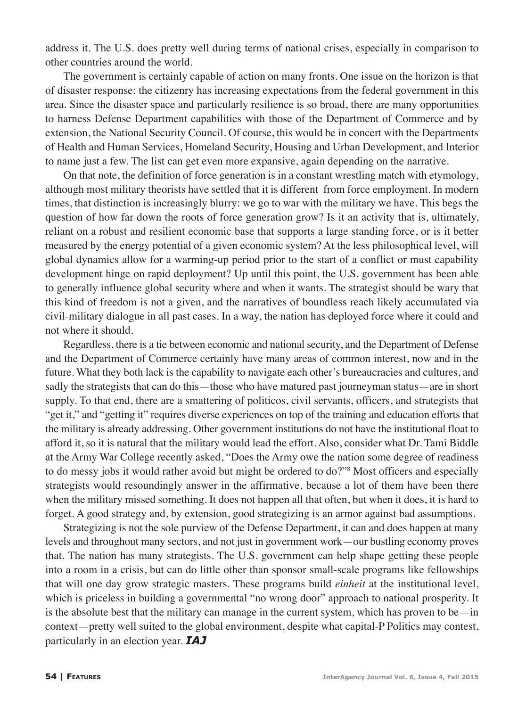address it. The U.S. does pretty well during terms of national crises, especially in comparison to other countries around the world.

The government is certainly capable of action on many fronts. One issue on the horizon is that of disaster response: the citizenry has increasing expectations from the federal government in this area. Since the disaster space and particularly resilience is so broad, there are many opportunities to harness Defense Department capabilities with those of the Department of Commerce and by extension, the National Security Council. Of course, this would be in concert with the Departments of Health and Human Services, Homeland Security, Housing and Urban Development, and Interior to name just a few. The list can get even more expansive, again depending on the narrative.

On that note, the definition of force generation is in a constant wrestling match with etymology, although most military theorists have settled that it is different from force employment. In modern times, that distinction is increasingly blurry: we go to war with the military we have. This begs the question of how far down the roots of force generation grow? Is it an activity that is, ultimately, reliant on a robust and resilient economic base that supports a large standing force, or is it better measured by the energy potential of a given economic system? At the less philosophical level, will global dynamics allow for a warming-up period prior to the start of a conflict or must capability development hinge on rapid deployment? Up until this point, the U.S. government has been able to generally influence global security where and when it wants. The strategist should be wary that this kind of freedom is not a given, and the narratives of boundless reach likely accumulated via civil-military dialogue in all past cases. In a way, the nation has deployed force where it could and not where it should.

Regardless, there is a tie between economic and national security, and the Department of Defense and the Department of Commerce certainly have many areas of common interest, now and in the future. What they both lack is the capability to navigate each other's bureaucracies and cultures, and sadly the strategists that can do this—those who have matured past journeyman status—are in short supply. To that end, there are a smattering of politicos, civil servants, officers, and strategists that "get it," and "getting it" requires diverse experiences on top of the training and education efforts that the military is already addressing. Other government institutions do not have the institutional float to afford it, so it is natural that the military would lead the effort. Also, consider what Dr. Tami Biddle at the Army War College recently asked, "Does the Army owe the nation some degree of readiness to do messy jobs it would rather avoid but might be ordered to do?"8 Most officers and especially strategists would resoundingly answer in the affirmative, because a lot of them have been there when the military missed something. It does not happen all that often, but when it does, it is hard to forget. A good strategy and, by extension, good strategizing is an armor against bad assumptions.

Strategizing is not the sole purview of the Defense Department, it can and does happen at many levels and throughout many sectors, and not just in government work—our bustling economy proves that. The nation has many strategists. The U.S. government can help shape getting these people into a room in a crisis, but can do little other than sponsor small-scale programs like fellowships that will one day grow strategic masters. These programs build *einheit* at the institutional level, which is priceless in building a governmental "no wrong door" approach to national prosperity. It is the absolute best that the military can manage in the current system, which has proven to be—in context—pretty well suited to the global environment, despite what capital-P Politics may contest, particularly in an election year. *IAJ*